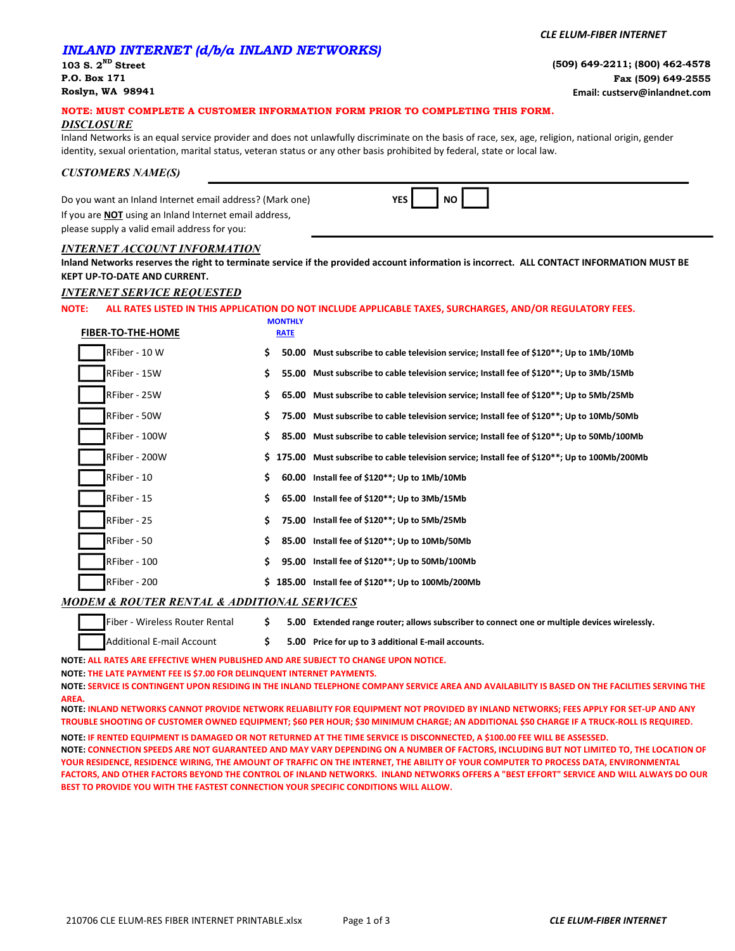# INLAND INTERNET (d/b/a INLAND NETWORKS)

CLE ELUM-FIBER INTERNET

103 S.  $2^{ND}$  Street (509) 649-2211; (800) 462-4578 P.O. Box 171 Fax (509) 649-2555 Roslyn, WA 98941 Email: custserv@inlandnet.com

### NOTE: MUST COMPLETE A CUSTOMER INFORMATION FORM PRIOR TO COMPLETING THIS FORM.

**MONTHLY** 

#### **DISCLOSURE**

Inland Networks is an equal service provider and does not unlawfully discriminate on the basis of race, sex, age, religion, national origin, gender identity, sexual orientation, marital status, veteran status or any other basis prohibited by federal, state or local law.

### CUSTOMERS NAME(S)

Do you want an Inland Internet email address? (Mark one) If you are **NOT** using an Inland Internet email address, please supply a valid email address for you:

| × |  | г |  |
|---|--|---|--|
|---|--|---|--|

### INTERNET ACCOUNT INFORMATION

Inland Networks reserves the right to terminate service if the provided account information is incorrect. ALL CONTACT INFORMATION MUST BE KEPT UP-TO-DATE AND CURRENT.

### INTERNET SERVICE REQUESTED

## NOTE: ALL RATES LISTED IN THIS APPLICATION DO NOT INCLUDE APPLICABLE TAXES, SURCHARGES, AND/OR REGULATORY FEES.

| <b>FIBER-TO-THE-HOME</b> |     | <b>RATE</b> |                                                                                                |
|--------------------------|-----|-------------|------------------------------------------------------------------------------------------------|
| RFiber - 10 W            | \$. |             | 50.00 Must subscribe to cable television service; Install fee of \$120**; Up to 1Mb/10Mb       |
| RFiber - 15W             | \$. |             | 55.00 Must subscribe to cable television service; Install fee of \$120**; Up to 3Mb/15Mb       |
| RFiber - 25W             | \$. |             | 65.00 Must subscribe to cable television service; Install fee of \$120**; Up to 5Mb/25Mb       |
| RFiber - 50W             | \$. |             | 75.00 Must subscribe to cable television service; Install fee of \$120**; Up to 10Mb/50Mb      |
| RFiber - 100W            | \$. |             | 85.00 Must subscribe to cable television service; Install fee of \$120**; Up to 50Mb/100Mb     |
| RFiber - 200W            |     |             | \$175.00 Must subscribe to cable television service; Install fee of \$120**; Up to 100Mb/200Mb |
| RFiber - 10              | \$. |             | 60.00 Install fee of \$120**; Up to 1Mb/10Mb                                                   |
| RFiber - 15              | \$. |             | 65.00 Install fee of \$120**; Up to 3Mb/15Mb                                                   |
| RFiber - 25              | \$. |             | 75.00 Install fee of \$120**; Up to 5Mb/25Mb                                                   |
| RFiber - 50              | \$. |             | 85.00 Install fee of \$120**; Up to 10Mb/50Mb                                                  |
| RFiber - 100             | \$  |             | 95.00 Install fee of \$120**; Up to 50Mb/100Mb                                                 |
| RFiber - 200             | S.  |             | 185.00 Install fee of \$120**; Up to 100Mb/200Mb                                               |

### MODEM & ROUTER RENTAL & ADDITIONAL SERVICES

|  | Fiber - Wireless Router Rental |  | 5.00 Extended range router; allows subscriber to connect one or multiple devices wirelessly. |
|--|--------------------------------|--|----------------------------------------------------------------------------------------------|
|  | Additional E-mail Account      |  | 5.00 Price for up to 3 additional E-mail accounts.                                           |

NOTE: ALL RATES ARE EFFECTIVE WHEN PUBLISHED AND ARE SUBJECT TO CHANGE UPON NOTICE.

NOTE: THE LATE PAYMENT FEE IS \$7.00 FOR DELINQUENT INTERNET PAYMENTS.

NOTE: SERVICE IS CONTINGENT UPON RESIDING IN THE INLAND TELEPHONE COMPANY SERVICE AREA AND AVAILABILITY IS BASED ON THE FACILITIES SERVING THE AREA.

NOTE: INLAND NETWORKS CANNOT PROVIDE NETWORK RELIABILITY FOR EQUIPMENT NOT PROVIDED BY INLAND NETWORKS; FEES APPLY FOR SET-UP AND ANY TROUBLE SHOOTING OF CUSTOMER OWNED EQUIPMENT; \$60 PER HOUR; \$30 MINIMUM CHARGE; AN ADDITIONAL \$50 CHARGE IF A TRUCK-ROLL IS REQUIRED.

NOTE: IF RENTED EQUIPMENT IS DAMAGED OR NOT RETURNED AT THE TIME SERVICE IS DISCONNECTED, A \$100.00 FEE WILL BE ASSESSED.

NOTE: CONNECTION SPEEDS ARE NOT GUARANTEED AND MAY VARY DEPENDING ON A NUMBER OF FACTORS, INCLUDING BUT NOT LIMITED TO, THE LOCATION OF YOUR RESIDENCE, RESIDENCE WIRING, THE AMOUNT OF TRAFFIC ON THE INTERNET, THE ABILITY OF YOUR COMPUTER TO PROCESS DATA, ENVIRONMENTAL FACTORS, AND OTHER FACTORS BEYOND THE CONTROL OF INLAND NETWORKS. INLAND NETWORKS OFFERS A "BEST EFFORT" SERVICE AND WILL ALWAYS DO OUR BEST TO PROVIDE YOU WITH THE FASTEST CONNECTION YOUR SPECIFIC CONDITIONS WILL ALLOW.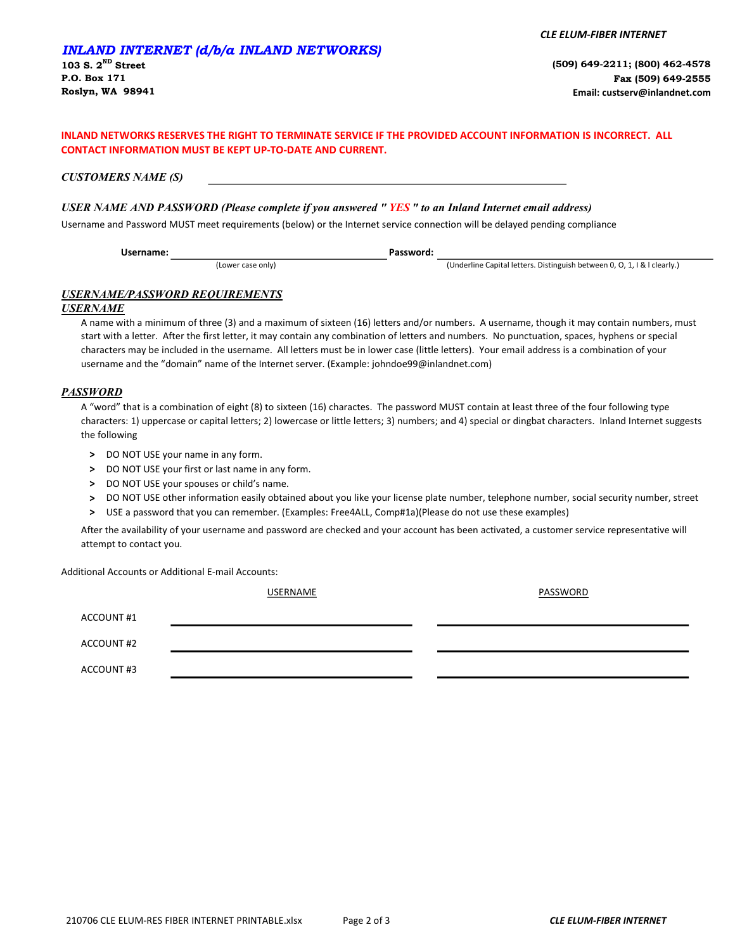## INLAND NETWORKS RESERVES THE RIGHT TO TERMINATE SERVICE IF THE PROVIDED ACCOUNT INFORMATION IS INCORRECT. ALL CONTACT INFORMATION MUST BE KEPT UP-TO-DATE AND CURRENT.

CUSTOMERS NAME (S)

# USER NAME AND PASSWORD (Please complete if you answered "YES" to an Inland Internet email address)

Username and Password MUST meet requirements (below) or the Internet service connection will be delayed pending compliance

(Lower case only) **Example 2** (Underline Capital letters. Distinguish between 0, O, 1, I & l clearly.) Username: Password:

# USERNAME/PASSWORD REQUIREMENTS

### USERNAME

A name with a minimum of three (3) and a maximum of sixteen (16) letters and/or numbers. A username, though it may contain numbers, must start with a letter. After the first letter, it may contain any combination of letters and numbers. No punctuation, spaces, hyphens or special characters may be included in the username. All letters must be in lower case (little letters). Your email address is a combination of your username and the "domain" name of the Internet server. (Example: johndoe99@inlandnet.com)

### **PASSWORD**

A "word" that is a combination of eight (8) to sixteen (16) charactes. The password MUST contain at least three of the four following type characters: 1) uppercase or capital letters; 2) lowercase or little letters; 3) numbers; and 4) special or dingbat characters. Inland Internet suggests the following

- > DO NOT USE your name in any form.
- > DO NOT USE your first or last name in any form.
- > DO NOT USE your spouses or child's name.
- > DO NOT USE other information easily obtained about you like your license plate number, telephone number, social security number, street
- > USE a password that you can remember. (Examples: Free4ALL, Comp#1a)(Please do not use these examples)

After the availability of your username and password are checked and your account has been activated, a customer service representative will attempt to contact you.

Additional Accounts or Additional E-mail Accounts:

USERNAME PASSWORD

| ACCOUNT#2 |  |  |
|-----------|--|--|

ACCOUNT #1

ACCOUNT #3